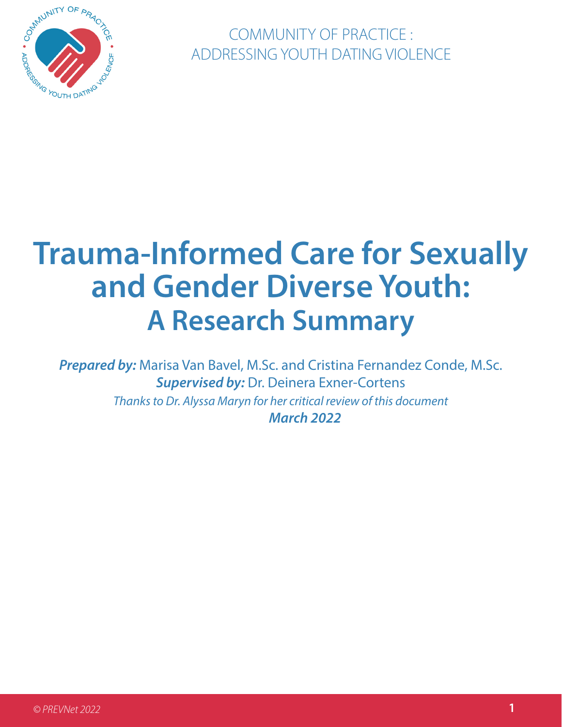

COMMUNITY OF PRACTICE : ADDRESSING YOUTH DATING VIOLENCE

# **Trauma-Informed Care for Sexually and Gender Diverse Youth: A Research Summary**

*Prepared by:* Marisa Van Bavel, M.Sc. and Cristina Fernandez Conde, M.Sc. *Supervised by:* Dr. Deinera Exner-Cortens *Thanks to Dr. Alyssa Maryn for her critical review of this document March 2022*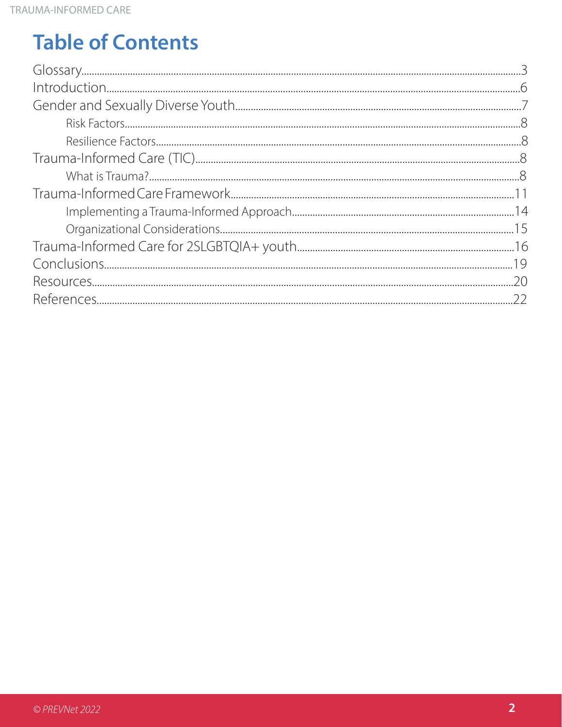## **Table of Contents**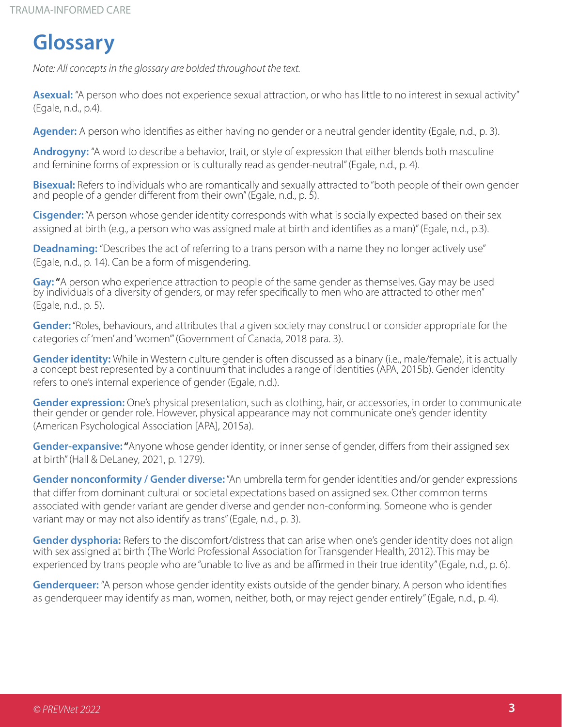## **Glossary**

*Note: All concepts in the glossary are bolded throughout the text.* 

**Asexual:** "A person who does not experience sexual attraction, or who has little to no interest in sexual activity" (Egale, n.d., p.4).

**Agender:** A person who identifies as either having no gender or a neutral gender identity (Egale, n.d., p. 3).

**Androgyny:** "A word to describe a behavior, trait, or style of expression that either blends both masculine and feminine forms of expression or is culturally read as gender-neutral" (Egale, n.d., p. 4).

**Bisexual:** Refers to individuals who are romantically and sexually attracted to "both people of their own gender and people of a gender different from their own" (Egale, n.d., p. 5).

**Cisgender:**"A person whose gender identity corresponds with what is socially expected based on their sex assigned at birth (e.g., a person who was assigned male at birth and identifies as a man)" (Egale, n.d., p.3).

**Deadnaming:** "Describes the act of referring to a trans person with a name they no longer actively use" (Egale, n.d., p. 14). Can be a form of misgendering.

**Gay: "**A person who experience attraction to people of the same gender as themselves. Gay may be used<br>by individuals of a diversity of genders, or may refer specifically to men who are attracted to other men" (Egale, n.d., p. 5).

**Gender:**"Roles, behaviours, and attributes that a given society may construct or consider appropriate for the categories of 'men' and 'women'" (Government of Canada, 2018 para. 3).

Gender identity: While in Western culture gender is often discussed as a binary (i.e., male/female), it is actually<br>a concept best represented by a continuum that includes a range of identities (APA, 2015b). Gender identit refers to one's internal experience of gender (Egale, n.d.).

**Gender expression:** One's physical presentation, such as clothing, hair, or accessories, in order to communicate<br>their gender or gender role. However, physical appearance may not communicate one's gender identity (American Psychological Association [APA], 2015a).

**Gender-expansive: "**Anyone whose gender identity, or inner sense of gender, differs from their assigned sex at birth" (Hall & DeLaney, 2021, p. 1279).

**Gender nonconformity / Gender diverse:**"An umbrella term for gender identities and/or gender expressions that differ from dominant cultural or societal expectations based on assigned sex. Other common terms associated with gender variant are gender diverse and gender non-conforming. Someone who is gender variant may or may not also identify as trans" (Egale, n.d., p. 3).

**Gender dysphoria:** Refers to the discomfort/distress that can arise when one's gender identity does not align with sex assigned at birth (The World Professional Association for Transgender Health, 2012). This may be experienced by trans people who are "unable to live as and be affirmed in their true identity" (Egale, n.d., p. 6).

**Genderqueer:** "A person whose gender identity exists outside of the gender binary. A person who identifies as genderqueer may identify as man, women, neither, both, or may reject gender entirely" (Egale, n.d., p. 4).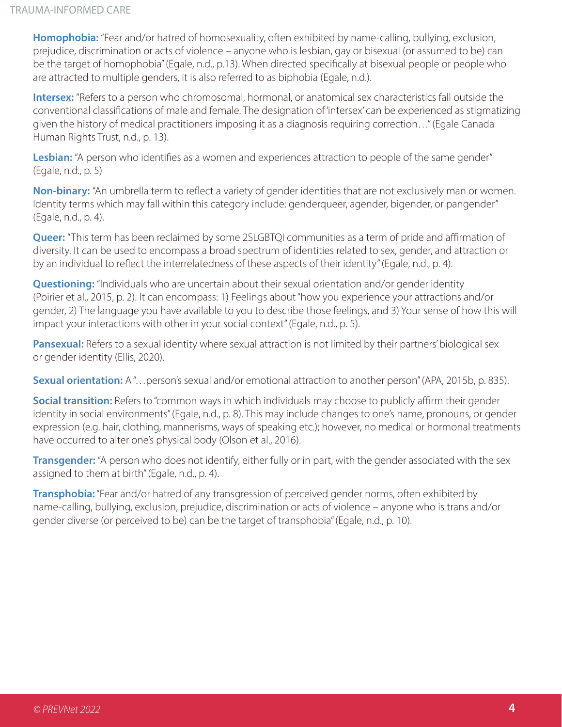**Homophobia:** "Fear and/or hatred of homosexuality, often exhibited by name-calling, bullying, exclusion, prejudice, discrimination or acts of violence – anyone who is lesbian, gay or bisexual (or assumed to be) can be the target of homophobia" (Egale, n.d., p.13). When directed specifically at bisexual people or people who are attracted to multiple genders, it is also referred to as biphobia (Egale, n.d.).

**Intersex:** "Refers to a person who chromosomal, hormonal, or anatomical sex characteristics fall outside the conventional classifications of male and female. The designation of 'intersex' can be experienced as stigmatizing given the history of medical practitioners imposing it as a diagnosis requiring correction…" (Egale Canada Human Rights Trust, n.d., p. 13).

Lesbian: "A person who identifies as a women and experiences attraction to people of the same gender" (Egale, n.d., p. 5)

**Non-binary:** "An umbrella term to reflect a variety of gender identities that are not exclusively man or women. Identity terms which may fall within this category include: genderqueer, agender, bigender, or pangender" (Egale, n.d., p. 4).

**Queer:** "This term has been reclaimed by some 2SLGBTQI communities as a term of pride and affirmation of diversity. It can be used to encompass a broad spectrum of identities related to sex, gender, and attraction or by an individual to reflect the interrelatedness of these aspects of their identity" (Egale, n.d., p. 4).

**Questioning:** "Individuals who are uncertain about their sexual orientation and/or gender identity (Poirier et al., 2015, p. 2). It can encompass: 1) Feelings about "how you experience your attractions and/or gender, 2) The language you have available to you to describe those feelings, and 3) Your sense of how this will impact your interactions with other in your social context" (Egale, n.d., p. 5).

**Pansexual:** Refers to a sexual identity where sexual attraction is not limited by their partners' biological sex or gender identity (Ellis, 2020).

**Sexual orientation:** A "... person's sexual and/or emotional attraction to another person" (APA, 2015b, p. 835).

**Social transition:** Refers to "common ways in which individuals may choose to publicly affirm their gender identity in social environments" (Egale, n.d., p. 8). This may include changes to one's name, pronouns, or gender expression (e.g. hair, clothing, mannerisms, ways of speaking etc.); however, no medical or hormonal treatments have occurred to alter one's physical body (Olson et al., 2016).

**Transgender:** "A person who does not identify, either fully or in part, with the gender associated with the sex assigned to them at birth" (Egale, n.d., p. 4).

**Transphobia:** "Fear and/or hatred of any transgression of perceived gender norms, often exhibited by name-calling, bullying, exclusion, prejudice, discrimination or acts of violence – anyone who is trans and/or gender diverse (or perceived to be) can be the target of transphobia" (Egale, n.d., p. 10).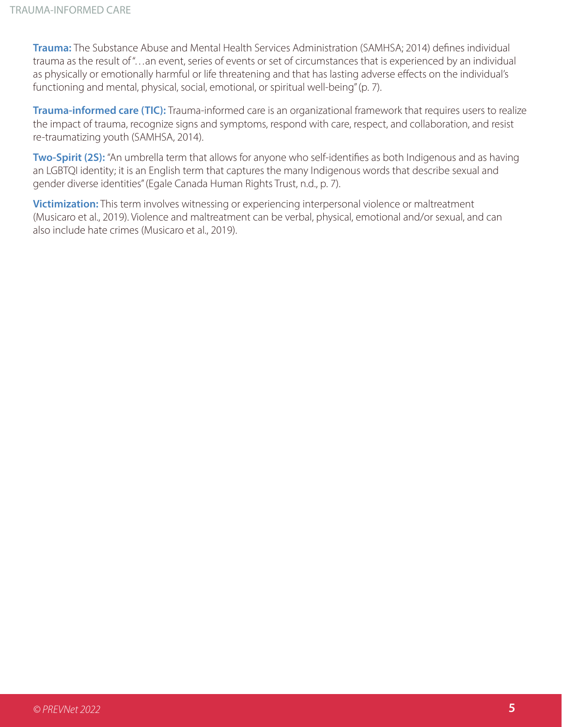**Trauma:** The Substance Abuse and Mental Health Services Administration (SAMHSA; 2014) defines individual trauma as the result of "…an event, series of events or set of circumstances that is experienced by an individual as physically or emotionally harmful or life threatening and that has lasting adverse effects on the individual's functioning and mental, physical, social, emotional, or spiritual well-being" (p. 7).

**Trauma-informed care (TIC):** Trauma-informed care is an organizational framework that requires users to realize the impact of trauma, recognize signs and symptoms, respond with care, respect, and collaboration, and resist re-traumatizing youth (SAMHSA, 2014).

**Two-Spirit (2S):** "An umbrella term that allows for anyone who self-identifies as both Indigenous and as having an LGBTQI identity; it is an English term that captures the many Indigenous words that describe sexual and gender diverse identities" (Egale Canada Human Rights Trust, n.d., p. 7).

**Victimization:** This term involves witnessing or experiencing interpersonal violence or maltreatment (Musicaro et al., 2019). Violence and maltreatment can be verbal, physical, emotional and/or sexual, and can also include hate crimes (Musicaro et al., 2019).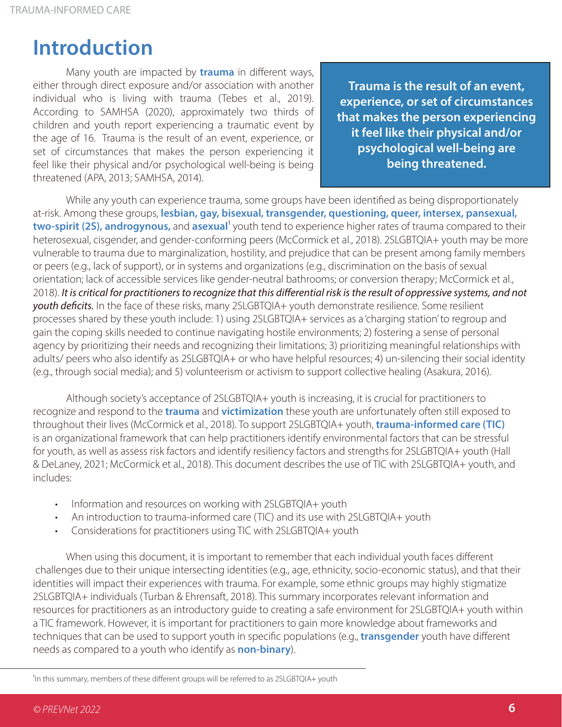## **Introduction**

Many youth are impacted by **trauma** in different ways, either through direct exposure and/or association with another individual who is living with trauma (Tebes et al., 2019). According to SAMHSA (2020), approximately two thirds of children and youth report experiencing a traumatic event by the age of 16. Trauma is the result of an event, experience, or set of circumstances that makes the person experiencing it feel like their physical and/or psychological well-being is being threatened (APA, 2013; SAMHSA, 2014).

**Trauma is the result of an event, experience, or set of circumstances that makes the person experiencing it feel like their physical and/or psychological well-being are being threatened.**

While any youth can experience trauma, some groups have been identified as being disproportionately at-risk. Among these groups, **lesbian, gay, bisexual, transgender, questioning, queer, intersex, pansexual, two-spirit (2S), androgynous,** and **asexual**<sup>1</sup> youth tend to experience higher rates of trauma compared to their heterosexual, cisgender, and gender-conforming peers (McCormick et al., 2018). 2SLGBTQIA+ youth may be more vulnerable to trauma due to marginalization, hostility, and prejudice that can be present among family members or peers (e.g., lack of support), or in systems and organizations (e.g., discrimination on the basis of sexual orientation; lack of accessible services like gender-neutral bathrooms; or conversion therapy; McCormick et al., 2018). *It is critical for practitioners to recognize that this differential risk is the result of oppressive systems, and not youth deficits.* In the face of these risks, many 2SLGBTQIA+ youth demonstrate resilience. Some resilient processes shared by these youth include: 1) using 2SLGBTQIA+ services as a 'charging station' to regroup and gain the coping skills needed to continue navigating hostile environments; 2) fostering a sense of personal agency by prioritizing their needs and recognizing their limitations; 3) prioritizing meaningful relationships with adults/ peers who also identify as 2SLGBTQIA+ or who have helpful resources; 4) un-silencing their social identity (e.g., through social media); and 5) volunteerism or activism to support collective healing (Asakura, 2016).

Although society's acceptance of 2SLGBTQIA+ youth is increasing, it is crucial for practitioners to recognize and respond to the **trauma** and **victimization** these youth are unfortunately often still exposed to throughout their lives (McCormick et al., 2018). To support 2SLGBTQIA+ youth, **trauma-informed care (TIC)** is an organizational framework that can help practitioners identify environmental factors that can be stressful for youth, as well as assess risk factors and identify resiliency factors and strengths for 2SLGBTQIA+ youth (Hall & DeLaney, 2021; McCormick et al., 2018). This document describes the use of TIC with 2SLGBTQIA+ youth, and includes:

- Information and resources on working with 2SLGBTQIA+ youth
- An introduction to trauma-informed care (TIC) and its use with 2SLGBTQIA+ youth
- Considerations for practitioners using TIC with 2SLGBTQIA+ youth

When using this document, it is important to remember that each individual youth faces different challenges due to their unique intersecting identities (e.g., age, ethnicity, socio-economic status), and that their identities will impact their experiences with trauma. For example, some ethnic groups may highly stigmatize 2SLGBTQIA+ individuals (Turban & Ehrensaft, 2018). This summary incorporates relevant information and resources for practitioners as an introductory guide to creating a safe environment for 2SLGBTQIA+ youth within a TIC framework. However, it is important for practitioners to gain more knowledge about frameworks and techniques that can be used to support youth in specific populations (e.g., **transgender** youth have different needs as compared to a youth who identify as **non-binary**).

<sup>1</sup>In this summary, members of these different groups will be referred to as 2SLGBTQIA+ youth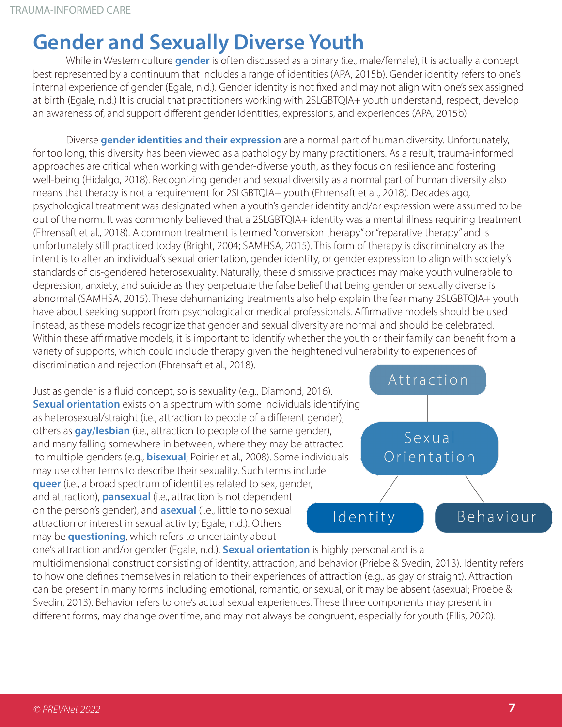## **Gender and Sexually Diverse Youth**

While in Western culture **gender** is often discussed as a binary (i.e., male/female), it is actually a concept best represented by a continuum that includes a range of identities (APA, 2015b). Gender identity refers to one's internal experience of gender (Egale, n.d.). Gender identity is not fixed and may not align with one's sex assigned at birth (Egale, n.d.) It is crucial that practitioners working with 2SLGBTQIA+ youth understand, respect, develop an awareness of, and support different gender identities, expressions, and experiences (APA, 2015b).

Diverse **gender identities and their expression** are a normal part of human diversity. Unfortunately, for too long, this diversity has been viewed as a pathology by many practitioners. As a result, trauma-informed approaches are critical when working with gender-diverse youth, as they focus on resilience and fostering well-being (Hidalgo, 2018). Recognizing gender and sexual diversity as a normal part of human diversity also means that therapy is not a requirement for 2SLGBTQIA+ youth (Ehrensaft et al., 2018). Decades ago, psychological treatment was designated when a youth's gender identity and/or expression were assumed to be out of the norm. It was commonly believed that a 2SLGBTQIA+ identity was a mental illness requiring treatment (Ehrensaft et al., 2018). A common treatment is termed "conversion therapy" or "reparative therapy" and is unfortunately still practiced today (Bright, 2004; SAMHSA, 2015). This form of therapy is discriminatory as the intent is to alter an individual's sexual orientation, gender identity, or gender expression to align with society's standards of cis-gendered heterosexuality. Naturally, these dismissive practices may make youth vulnerable to depression, anxiety, and suicide as they perpetuate the false belief that being gender or sexually diverse is abnormal (SAMHSA, 2015). These dehumanizing treatments also help explain the fear many 2SLGBTQIA+ youth have about seeking support from psychological or medical professionals. Affirmative models should be used instead, as these models recognize that gender and sexual diversity are normal and should be celebrated. Within these affirmative models, it is important to identify whether the youth or their family can benefit from a variety of supports, which could include therapy given the heightened vulnerability to experiences of discrimination and rejection (Ehrensaft et al., 2018).

Just as gender is a fluid concept, so is sexuality (e.g., Diamond, 2016). **Sexual orientation** exists on a spectrum with some individuals identifying as heterosexual/straight (i.e., attraction to people of a different gender), others as **gay/lesbian** (i.e., attraction to people of the same gender), and many falling somewhere in between, where they may be attracted to multiple genders (e.g., **bisexual**; Poirier et al., 2008). Some individuals may use other terms to describe their sexuality. Such terms include **queer** (i.e., a broad spectrum of identities related to sex, gender, and attraction), **pansexual** (i.e., attraction is not dependent on the person's gender), and **asexual** (i.e., little to no sexual attraction or interest in sexual activity; Egale, n.d.). Others may be **questioning**, which refers to uncertainty about



one's attraction and/or gender (Egale, n.d.). **Sexual orientation** is highly personal and is a multidimensional construct consisting of identity, attraction, and behavior (Priebe & Svedin, 2013). Identity refers to how one defines themselves in relation to their experiences of attraction (e.g., as gay or straight). Attraction can be present in many forms including emotional, romantic, or sexual, or it may be absent (asexual; Proebe & Svedin, 2013). Behavior refers to one's actual sexual experiences. These three components may present in different forms, may change over time, and may not always be congruent, especially for youth (Ellis, 2020).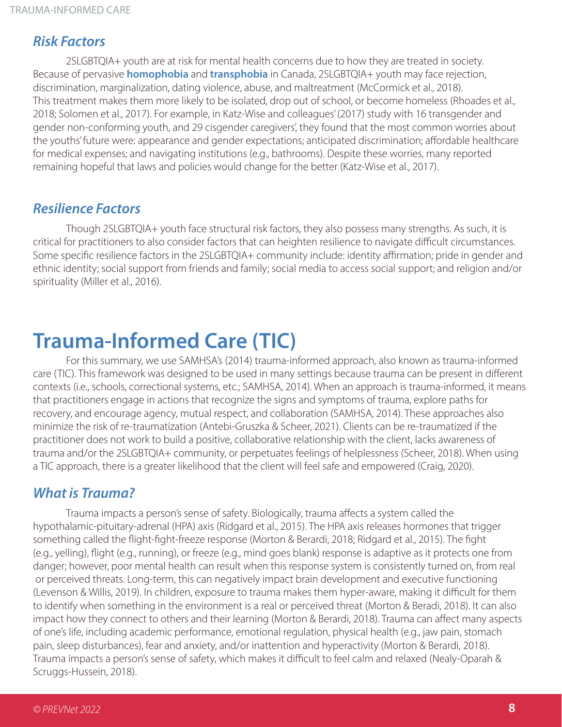### *Risk Factors*

2SLGBTQIA+ youth are at risk for mental health concerns due to how they are treated in society. Because of pervasive **homophobia** and **transphobia** in Canada, 2SLGBTQIA+ youth may face rejection, discrimination, marginalization, dating violence, abuse, and maltreatment (McCormick et al., 2018). This treatment makes them more likely to be isolated, drop out of school, or become homeless (Rhoades et al., 2018; Solomen et al., 2017). For example, in Katz-Wise and colleagues' (2017) study with 16 transgender and gender non-conforming youth, and 29 cisgender caregivers', they found that the most common worries about the youths' future were: appearance and gender expectations; anticipated discrimination; affordable healthcare for medical expenses; and navigating institutions (e.g., bathrooms). Despite these worries, many reported remaining hopeful that laws and policies would change for the better (Katz-Wise et al., 2017).

### *Resilience Factors*

Though 2SLGBTQIA+ youth face structural risk factors, they also possess many strengths. As such, it is critical for practitioners to also consider factors that can heighten resilience to navigate difficult circumstances. Some specific resilience factors in the 2SLGBTQIA+ community include: identity affirmation; pride in gender and ethnic identity; social support from friends and family; social media to access social support; and religion and/or spirituality (Miller et al., 2016).

## **Trauma-Informed Care (TIC)**

For this summary, we use SAMHSA's (2014) trauma-informed approach, also known as trauma-informed care (TIC). This framework was designed to be used in many settings because trauma can be present in different contexts (i.e., schools, correctional systems, etc.; SAMHSA, 2014). When an approach is trauma-informed, it means that practitioners engage in actions that recognize the signs and symptoms of trauma, explore paths for recovery, and encourage agency, mutual respect, and collaboration (SAMHSA, 2014). These approaches also minimize the risk of re-traumatization (Antebi-Gruszka & Scheer, 2021). Clients can be re-traumatized if the practitioner does not work to build a positive, collaborative relationship with the client, lacks awareness of trauma and/or the 2SLGBTQIA+ community, or perpetuates feelings of helplessness (Scheer, 2018). When using a TIC approach, there is a greater likelihood that the client will feel safe and empowered (Craig, 2020).

### *What is Trauma?*

Trauma impacts a person's sense of safety. Biologically, trauma affects a system called the hypothalamic-pituitary-adrenal (HPA) axis (Ridgard et al., 2015). The HPA axis releases hormones that trigger something called the flight-fight-freeze response (Morton & Berardi, 2018; Ridgard et al., 2015). The fight (e.g., yelling), flight (e.g., running), or freeze (e.g., mind goes blank) response is adaptive as it protects one from danger; however, poor mental health can result when this response system is consistently turned on, from real or perceived threats. Long-term, this can negatively impact brain development and executive functioning (Levenson & Willis, 2019). In children, exposure to trauma makes them hyper-aware, making it difficult for them to identify when something in the environment is a real or perceived threat (Morton & Beradi, 2018). It can also impact how they connect to others and their learning (Morton & Berardi, 2018). Trauma can affect many aspects of one's life, including academic performance, emotional regulation, physical health (e.g., jaw pain, stomach pain, sleep disturbances), fear and anxiety, and/or inattention and hyperactivity (Morton & Berardi, 2018). Trauma impacts a person's sense of safety, which makes it difficult to feel calm and relaxed (Nealy-Oparah & Scruggs-Hussein, 2018).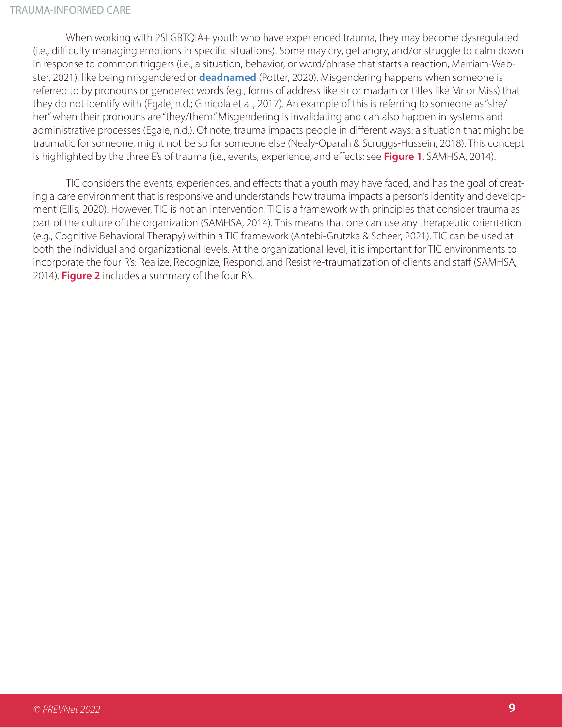When working with 2SLGBTQIA+ youth who have experienced trauma, they may become dysregulated (i.e., difficulty managing emotions in specific situations). Some may cry, get angry, and/or struggle to calm down in response to common triggers (i.e., a situation, behavior, or word/phrase that starts a reaction; Merriam-Webster, 2021), like being misgendered or **deadnamed** (Potter, 2020). Misgendering happens when someone is referred to by pronouns or gendered words (e.g., forms of address like sir or madam or titles like Mr or Miss) that they do not identify with (Egale, n.d.; Ginicola et al., 2017). An example of this is referring to someone as "she/ her" when their pronouns are "they/them." Misgendering is invalidating and can also happen in systems and administrative processes (Egale, n.d.). Of note, trauma impacts people in different ways: a situation that might be traumatic for someone, might not be so for someone else (Nealy-Oparah & Scruggs-Hussein, 2018). This concept is highlighted by the three E's of trauma (i.e., events, experience, and effects; see **Figure 1**. SAMHSA, 2014).

TIC considers the events, experiences, and effects that a youth may have faced, and has the goal of creating a care environment that is responsive and understands how trauma impacts a person's identity and development (Ellis, 2020). However, TIC is not an intervention. TIC is a framework with principles that consider trauma as part of the culture of the organization (SAMHSA, 2014). This means that one can use any therapeutic orientation (e.g., Cognitive Behavioral Therapy) within a TIC framework (Antebi-Grutzka & Scheer, 2021). TIC can be used at both the individual and organizational levels. At the organizational level, it is important for TIC environments to incorporate the four R's: Realize, Recognize, Respond, and Resist re-traumatization of clients and staff (SAMHSA, 2014). **Figure 2** includes a summary of the four R's.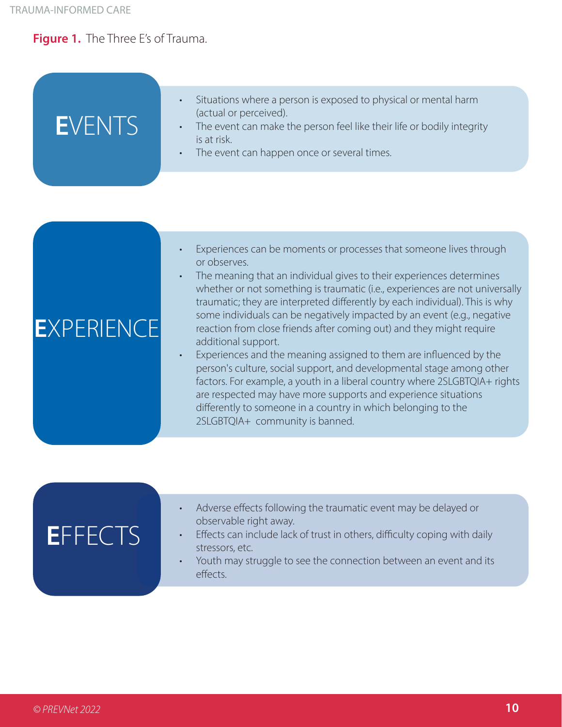### **Figure 1.** The Three E's of Trauma.

| EVENTS | Situations where a person is exposed to physical or mental harm<br>(actual or perceived).<br>The event can make the person feel like their life or bodily integrity<br>is at risk.<br>• The event can happen once or several times. |
|--------|-------------------------------------------------------------------------------------------------------------------------------------------------------------------------------------------------------------------------------------|
|        |                                                                                                                                                                                                                                     |

| Experiences can be moments or processes that someone lives through |
|--------------------------------------------------------------------|
| or observes.                                                       |

The meaning that an individual gives to their experiences determines whether or not something is traumatic (i.e., experiences are not universally traumatic; they are interpreted differently by each individual). This is why some individuals can be negatively impacted by an event (e.g., negative reaction from close friends after coming out) and they might require additional support.

• Experiences and the meaning assigned to them are influenced by the person's culture, social support, and developmental stage among other factors. For example, a youth in a liberal country where 2SLGBTQIA+ rights are respected may have more supports and experience situations differently to someone in a country in which belonging to the 2SLGBTQIA+ community is banned.

| EFFECIS | Adverse effects following the traumatic event may be delayed or<br>observable right away.<br>Effects can include lack of trust in others, difficulty coping with daily<br>$\bullet$<br>stressors, etc.<br>Youth may struggle to see the connection between an event and its<br>effects. |
|---------|-----------------------------------------------------------------------------------------------------------------------------------------------------------------------------------------------------------------------------------------------------------------------------------------|
|         |                                                                                                                                                                                                                                                                                         |

## **E**XPERIENCE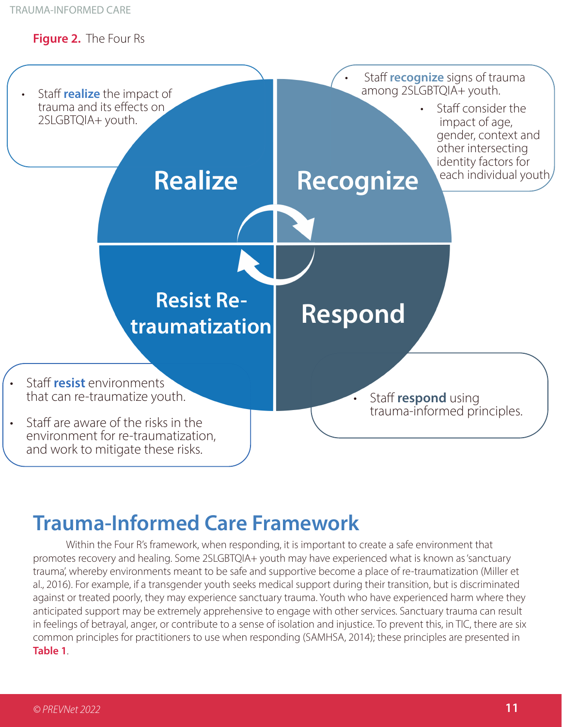### **Figure 2.** The Four Rs



## **Trauma-Informed Care Framework**

Within the Four R's framework, when responding, it is important to create a safe environment that promotes recovery and healing. Some 2SLGBTQIA+ youth may have experienced what is known as 'sanctuary trauma', whereby environments meant to be safe and supportive become a place of re-traumatization (Miller et al., 2016). For example, if a transgender youth seeks medical support during their transition, but is discriminated against or treated poorly, they may experience sanctuary trauma. Youth who have experienced harm where they anticipated support may be extremely apprehensive to engage with other services. Sanctuary trauma can result in feelings of betrayal, anger, or contribute to a sense of isolation and injustice. To prevent this, in TIC, there are six common principles for practitioners to use when responding (SAMHSA, 2014); these principles are presented in **Table 1**.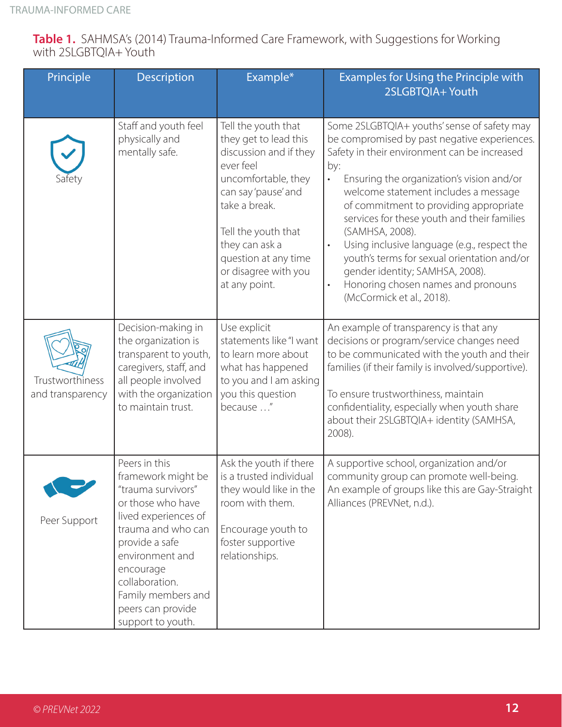|                       | <b>Table 1.</b> SAHMSA's (2014) Trauma-Informed Care Framework, with Suggestions for Working |  |  |
|-----------------------|----------------------------------------------------------------------------------------------|--|--|
| with 2SLGBTQIA+ Youth |                                                                                              |  |  |

| Principle                           | Description                                                                                                                                                                                                                                                      | Example*                                                                                                                                                                                                                                                     | Examples for Using the Principle with<br>2SLGBTQIA+ Youth                                                                                                                                                                                                                                                                                                                                                                                                                                                                                                                                      |
|-------------------------------------|------------------------------------------------------------------------------------------------------------------------------------------------------------------------------------------------------------------------------------------------------------------|--------------------------------------------------------------------------------------------------------------------------------------------------------------------------------------------------------------------------------------------------------------|------------------------------------------------------------------------------------------------------------------------------------------------------------------------------------------------------------------------------------------------------------------------------------------------------------------------------------------------------------------------------------------------------------------------------------------------------------------------------------------------------------------------------------------------------------------------------------------------|
| Safety                              | Staff and youth feel<br>physically and<br>mentally safe.                                                                                                                                                                                                         | Tell the youth that<br>they get to lead this<br>discussion and if they<br>ever feel<br>uncomfortable, they<br>can say 'pause' and<br>take a break.<br>Tell the youth that<br>they can ask a<br>question at any time<br>or disagree with you<br>at any point. | Some 2SLGBTQIA+ youths' sense of safety may<br>be compromised by past negative experiences.<br>Safety in their environment can be increased<br>by:<br>Ensuring the organization's vision and/or<br>$\bullet$<br>welcome statement includes a message<br>of commitment to providing appropriate<br>services for these youth and their families<br>(SAMHSA, 2008).<br>Using inclusive language (e.g., respect the<br>$\bullet$<br>youth's terms for sexual orientation and/or<br>gender identity; SAMHSA, 2008).<br>Honoring chosen names and pronouns<br>$\bullet$<br>(McCormick et al., 2018). |
| Trustworthiness<br>and transparency | Decision-making in<br>the organization is<br>transparent to youth,<br>caregivers, staff, and<br>all people involved<br>with the organization<br>to maintain trust.                                                                                               | Use explicit<br>statements like "I want<br>to learn more about<br>what has happened<br>to you and I am asking<br>you this question<br>because "                                                                                                              | An example of transparency is that any<br>decisions or program/service changes need<br>to be communicated with the youth and their<br>families (if their family is involved/supportive).<br>To ensure trustworthiness, maintain<br>confidentiality, especially when youth share<br>about their 2SLGBTQIA+ identity (SAMHSA,<br>2008).                                                                                                                                                                                                                                                          |
| Peer Support                        | Peers in this<br>framework might be<br>"trauma survivors"<br>or those who have<br>lived experiences of<br>trauma and who can<br>provide a safe<br>environment and<br>encourage<br>collaboration.<br>Family members and<br>peers can provide<br>support to youth. | Ask the youth if there<br>is a trusted individual<br>they would like in the<br>room with them.<br>Encourage youth to<br>foster supportive<br>relationships.                                                                                                  | A supportive school, organization and/or<br>community group can promote well-being.<br>An example of groups like this are Gay-Straight<br>Alliances (PREVNet, n.d.).                                                                                                                                                                                                                                                                                                                                                                                                                           |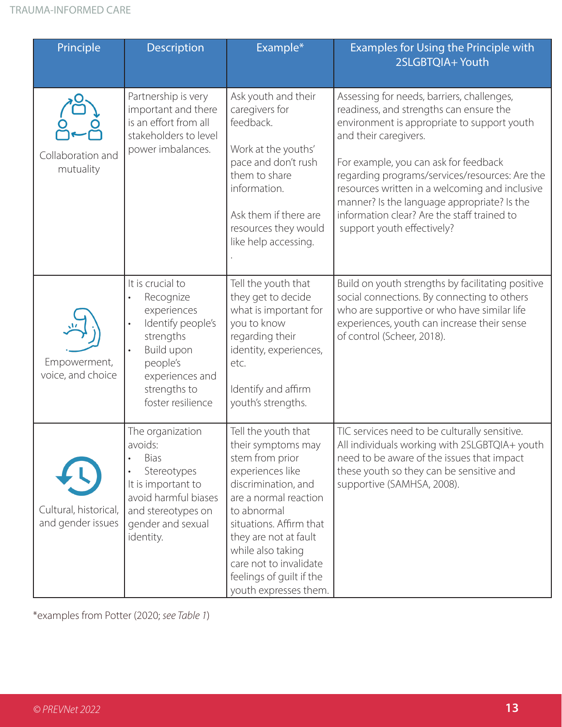| Principle                                                                                                                                                                                                     | Description                                                                                                                                                                   | Example*                                                                                                                                                                                                                                                                                                | <b>Examples for Using the Principle with</b><br>2SLGBTQIA+ Youth                                                                                                                                                                                                                                                                                                                                                                       |
|---------------------------------------------------------------------------------------------------------------------------------------------------------------------------------------------------------------|-------------------------------------------------------------------------------------------------------------------------------------------------------------------------------|---------------------------------------------------------------------------------------------------------------------------------------------------------------------------------------------------------------------------------------------------------------------------------------------------------|----------------------------------------------------------------------------------------------------------------------------------------------------------------------------------------------------------------------------------------------------------------------------------------------------------------------------------------------------------------------------------------------------------------------------------------|
| Collaboration and<br>mutuality                                                                                                                                                                                | Partnership is very<br>important and there<br>is an effort from all<br>stakeholders to level<br>power imbalances.                                                             | Ask youth and their<br>caregivers for<br>feedback.<br>Work at the youths'<br>pace and don't rush<br>them to share<br>information.<br>Ask them if there are<br>resources they would<br>like help accessing.                                                                                              | Assessing for needs, barriers, challenges,<br>readiness, and strengths can ensure the<br>environment is appropriate to support youth<br>and their caregivers.<br>For example, you can ask for feedback<br>regarding programs/services/resources: Are the<br>resources written in a welcoming and inclusive<br>manner? Is the language appropriate? Is the<br>information clear? Are the staff trained to<br>support youth effectively? |
| Empowerment,<br>voice, and choice                                                                                                                                                                             | It is crucial to<br>Recognize<br>experiences<br>Identify people's<br>$\bullet$<br>strengths<br>Build upon<br>people's<br>experiences and<br>strengths to<br>foster resilience | Tell the youth that<br>they get to decide<br>what is important for<br>you to know<br>regarding their<br>identity, experiences,<br>etc.<br>Identify and affirm<br>youth's strengths.                                                                                                                     | Build on youth strengths by facilitating positive<br>social connections. By connecting to others<br>who are supportive or who have similar life<br>experiences, youth can increase their sense<br>of control (Scheer, 2018).                                                                                                                                                                                                           |
| The organization<br>avoids:<br><b>Bias</b><br>Stereotypes<br>It is important to<br>avoid harmful biases<br>Cultural, historical,<br>and stereotypes on<br>and gender issues<br>gender and sexual<br>identity. |                                                                                                                                                                               | Tell the youth that<br>their symptoms may<br>stem from prior<br>experiences like<br>discrimination, and<br>are a normal reaction<br>to abnormal<br>situations. Affirm that<br>they are not at fault<br>while also taking<br>care not to invalidate<br>feelings of guilt if the<br>youth expresses them. | TIC services need to be culturally sensitive.<br>All individuals working with 2SLGBTQIA+ youth<br>need to be aware of the issues that impact<br>these youth so they can be sensitive and<br>supportive (SAMHSA, 2008).                                                                                                                                                                                                                 |

\*examples from Potter (2020; *see Table 1*)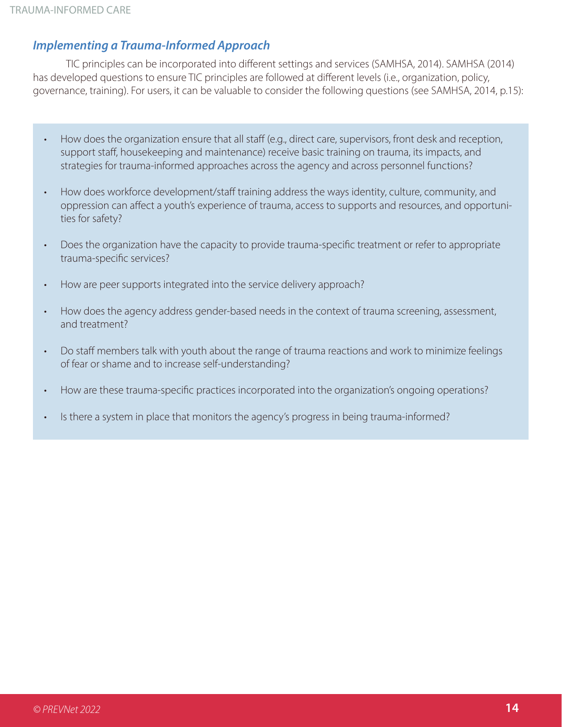### *Implementing a Trauma-Informed Approach*

TIC principles can be incorporated into different settings and services (SAMHSA, 2014). SAMHSA (2014) has developed questions to ensure TIC principles are followed at different levels (i.e., organization, policy, governance, training). For users, it can be valuable to consider the following questions (see SAMHSA, 2014, p.15):

- How does the organization ensure that all staff (e.g., direct care, supervisors, front desk and reception, support staff, housekeeping and maintenance) receive basic training on trauma, its impacts, and strategies for trauma-informed approaches across the agency and across personnel functions?
- How does workforce development/staff training address the ways identity, culture, community, and oppression can affect a youth's experience of trauma, access to supports and resources, and opportunities for safety?
- Does the organization have the capacity to provide trauma-specific treatment or refer to appropriate trauma-specific services?
- How are peer supports integrated into the service delivery approach?
- How does the agency address gender-based needs in the context of trauma screening, assessment, and treatment?
- Do staff members talk with youth about the range of trauma reactions and work to minimize feelings of fear or shame and to increase self-understanding?
- How are these trauma-specific practices incorporated into the organization's ongoing operations?
- Is there a system in place that monitors the agency's progress in being trauma-informed?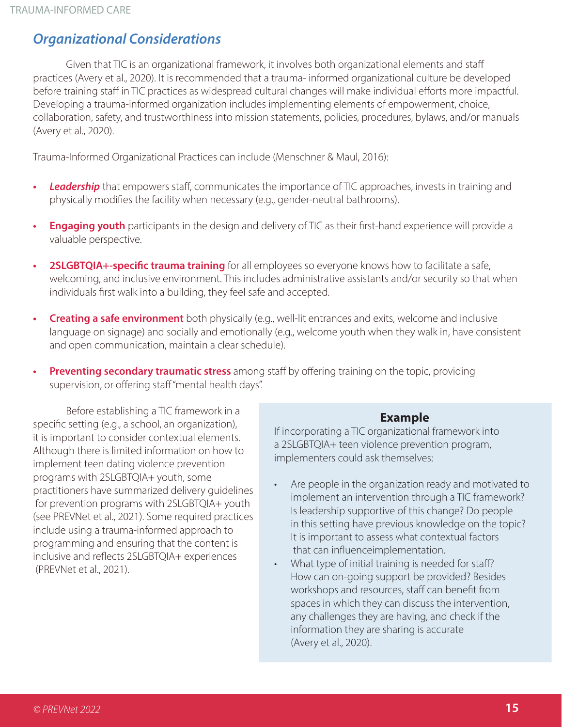### *Organizational Considerations*

Given that TIC is an organizational framework, it involves both organizational elements and staff practices (Avery et al., 2020). It is recommended that a trauma- informed organizational culture be developed before training staff in TIC practices as widespread cultural changes will make individual efforts more impactful. Developing a trauma-informed organization includes implementing elements of empowerment, choice, collaboration, safety, and trustworthiness into mission statements, policies, procedures, bylaws, and/or manuals (Avery et al., 2020).

Trauma-Informed Organizational Practices can include (Menschner & Maul, 2016):

- *• Leadership* that empowers staff, communicates the importance of TIC approaches, invests in training and physically modifies the facility when necessary (e.g., gender-neutral bathrooms).
- **• Engaging youth** participants in the design and delivery of TIC as their first-hand experience will provide a valuable perspective.
- **• 2SLGBTQIA+-specific trauma training** for all employees so everyone knows how to facilitate a safe, welcoming, and inclusive environment. This includes administrative assistants and/or security so that when individuals first walk into a building, they feel safe and accepted.
- **Creating a safe environment** both physically (e.g., well-lit entrances and exits, welcome and inclusive language on signage) and socially and emotionally (e.g., welcome youth when they walk in, have consistent and open communication, maintain a clear schedule).
- **• Preventing secondary traumatic stress** among staff by offering training on the topic, providing supervision, or offering staff "mental health days".

Before establishing a TIC framework in a specific setting (e.g., a school, an organization), it is important to consider contextual elements. Although there is limited information on how to implement teen dating violence prevention programs with 2SLGBTQIA+ youth, some practitioners have summarized delivery guidelines for prevention programs with 2SLGBTQIA+ youth (see PREVNet et al., 2021). Some required practices include using a trauma-informed approach to programming and ensuring that the content is inclusive and reflects 2SLGBTQIA+ experiences (PREVNet et al., 2021).

#### **Example**

If incorporating a TIC organizational framework into a 2SLGBTQIA+ teen violence prevention program, implementers could ask themselves:

- Are people in the organization ready and motivated to implement an intervention through a TIC framework? Is leadership supportive of this change? Do people in this setting have previous knowledge on the topic? It is important to assess what contextual factors that can influenceimplementation.
- What type of initial training is needed for staff? How can on-going support be provided? Besides workshops and resources, staff can benefit from spaces in which they can discuss the intervention, any challenges they are having, and check if the information they are sharing is accurate (Avery et al., 2020).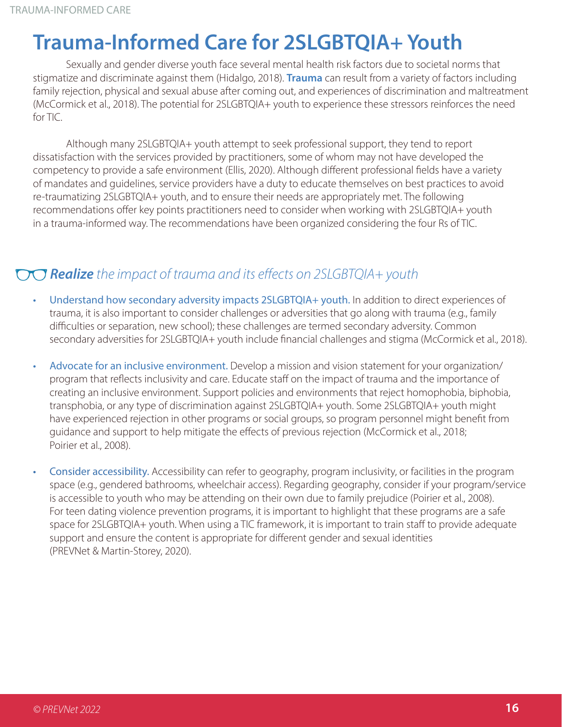## **Trauma-Informed Care for 2SLGBTQIA+ Youth**

Sexually and gender diverse youth face several mental health risk factors due to societal norms that stigmatize and discriminate against them (Hidalgo, 2018). **Trauma** can result from a variety of factors including family rejection, physical and sexual abuse after coming out, and experiences of discrimination and maltreatment (McCormick et al., 2018). The potential for 2SLGBTQIA+ youth to experience these stressors reinforces the need for TIC.

Although many 2SLGBTQIA+ youth attempt to seek professional support, they tend to report dissatisfaction with the services provided by practitioners, some of whom may not have developed the competency to provide a safe environment (Ellis, 2020). Although different professional fields have a variety of mandates and guidelines, service providers have a duty to educate themselves on best practices to avoid re-traumatizing 2SLGBTQIA+ youth, and to ensure their needs are appropriately met. The following recommendations offer key points practitioners need to consider when working with 2SLGBTQIA+ youth in a trauma-informed way. The recommendations have been organized considering the four Rs of TIC.

### *Realize the impact of trauma and its effects on 2SLGBTQIA+ youth*

- Understand how secondary adversity impacts 2SLGBTQIA+ youth. In addition to direct experiences of trauma, it is also important to consider challenges or adversities that go along with trauma (e.g., family difficulties or separation, new school); these challenges are termed secondary adversity. Common secondary adversities for 2SLGBTQIA+ youth include financial challenges and stigma (McCormick et al., 2018).
- Advocate for an inclusive environment. Develop a mission and vision statement for your organization/ program that reflects inclusivity and care. Educate staff on the impact of trauma and the importance of creating an inclusive environment. Support policies and environments that reject homophobia, biphobia, transphobia, or any type of discrimination against 2SLGBTQIA+ youth. Some 2SLGBTQIA+ youth might have experienced rejection in other programs or social groups, so program personnel might benefit from guidance and support to help mitigate the effects of previous rejection (McCormick et al., 2018; Poirier et al., 2008).
- Consider accessibility. Accessibility can refer to geography, program inclusivity, or facilities in the program space (e.g., gendered bathrooms, wheelchair access). Regarding geography, consider if your program/service is accessible to youth who may be attending on their own due to family prejudice (Poirier et al., 2008). For teen dating violence prevention programs, it is important to highlight that these programs are a safe space for 2SLGBTQIA+ youth. When using a TIC framework, it is important to train staff to provide adequate support and ensure the content is appropriate for different gender and sexual identities (PREVNet & Martin-Storey, 2020).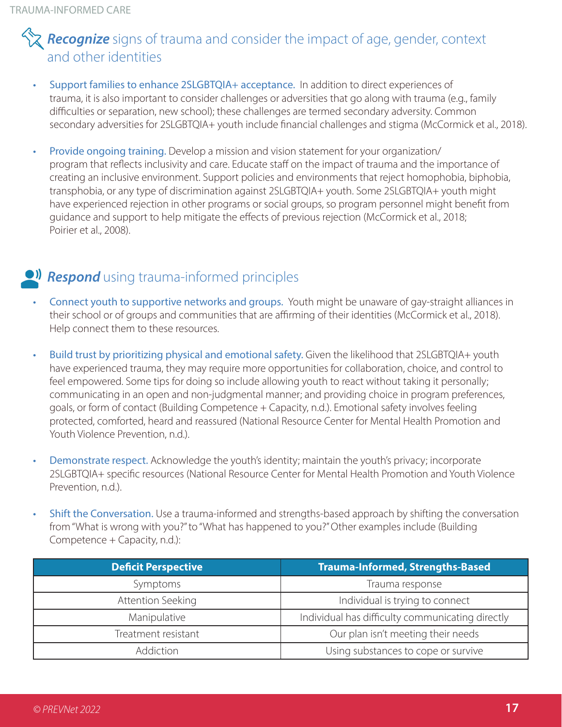### **Recognize** signs of trauma and consider the impact of age, gender, context and other identities

- Support families to enhance 2SLGBTQIA+ acceptance. In addition to direct experiences of trauma, it is also important to consider challenges or adversities that go along with trauma (e.g., family difficulties or separation, new school); these challenges are termed secondary adversity. Common secondary adversities for 2SLGBTQIA+ youth include financial challenges and stigma (McCormick et al., 2018).
- Provide ongoing training. Develop a mission and vision statement for your organization/ program that reflects inclusivity and care. Educate staff on the impact of trauma and the importance of creating an inclusive environment. Support policies and environments that reject homophobia, biphobia, transphobia, or any type of discrimination against 2SLGBTQIA+ youth. Some 2SLGBTQIA+ youth might have experienced rejection in other programs or social groups, so program personnel might benefit from guidance and support to help mitigate the effects of previous rejection (McCormick et al., 2018; Poirier et al., 2008).

### *CII* **Respond** using trauma-informed principles

- Connect youth to supportive networks and groups. Youth might be unaware of gay-straight alliances in their school or of groups and communities that are affirming of their identities (McCormick et al., 2018). Help connect them to these resources.
- Build trust by prioritizing physical and emotional safety. Given the likelihood that 2SLGBTQIA+ youth have experienced trauma, they may require more opportunities for collaboration, choice, and control to feel empowered. Some tips for doing so include allowing youth to react without taking it personally; communicating in an open and non-judgmental manner; and providing choice in program preferences, goals, or form of contact (Building Competence + Capacity, n.d.). Emotional safety involves feeling protected, comforted, heard and reassured (National Resource Center for Mental Health Promotion and Youth Violence Prevention, n.d.).
- Demonstrate respect. Acknowledge the youth's identity; maintain the youth's privacy; incorporate 2SLGBTQIA+ specific resources (National Resource Center for Mental Health Promotion and Youth Violence Prevention, n.d.).
- Shift the Conversation. Use a trauma-informed and strengths-based approach by shifting the conversation from "What is wrong with you?" to "What has happened to you?" Other examples include (Building Competence + Capacity, n.d.):

| <b>Deficit Perspective</b> | <b>Trauma-Informed, Strengths-Based</b>          |
|----------------------------|--------------------------------------------------|
| Symptoms                   | Trauma response                                  |
| Attention Seeking          | Individual is trying to connect                  |
| Manipulative               | Individual has difficulty communicating directly |
| Treatment resistant        | Our plan isn't meeting their needs               |
| Addiction                  | Using substances to cope or survive              |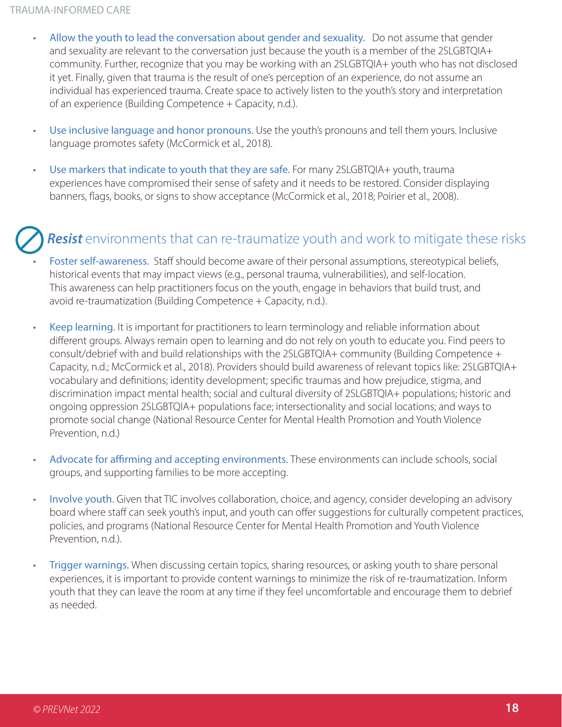- Allow the youth to lead the conversation about gender and sexuality. Do not assume that gender and sexuality are relevant to the conversation just because the youth is a member of the 2SLGBTQIA+ community. Further, recognize that you may be working with an 2SLGBTQIA+ youth who has not disclosed it yet. Finally, given that trauma is the result of one's perception of an experience, do not assume an individual has experienced trauma. Create space to actively listen to the youth's story and interpretation of an experience (Building Competence + Capacity, n.d.).
- Use inclusive language and honor pronouns. Use the youth's pronouns and tell them yours. Inclusive language promotes safety (McCormick et al., 2018).
- Use markers that indicate to youth that they are safe. For many 2SLGBTQIA+ youth, trauma experiences have compromised their sense of safety and it needs to be restored. Consider displaying banners, flags, books, or signs to show acceptance (McCormick et al., 2018; Poirier et al., 2008).

### **Resist** environments that can re-traumatize youth and work to mitigate these risks

- Foster self-awareness. Staff should become aware of their personal assumptions, stereotypical beliefs, historical events that may impact views (e.g., personal trauma, vulnerabilities), and self-location. This awareness can help practitioners focus on the youth, engage in behaviors that build trust, and avoid re-traumatization (Building Competence + Capacity, n.d.).
- Keep learning. It is important for practitioners to learn terminology and reliable information about different groups. Always remain open to learning and do not rely on youth to educate you. Find peers to consult/debrief with and build relationships with the 2SLGBTQIA+ community (Building Competence + Capacity, n.d.; McCormick et al., 2018). Providers should build awareness of relevant topics like: 2SLGBTQIA+ vocabulary and definitions; identity development; specific traumas and how prejudice, stigma, and discrimination impact mental health; social and cultural diversity of 2SLGBTQIA+ populations; historic and ongoing oppression 2SLGBTQIA+ populations face; intersectionality and social locations; and ways to promote social change (National Resource Center for Mental Health Promotion and Youth Violence Prevention, n.d.)
- Advocate for affirming and accepting environments. These environments can include schools, social groups, and supporting families to be more accepting.
- Involve youth. Given that TIC involves collaboration, choice, and agency, consider developing an advisory board where staff can seek youth's input, and youth can offer suggestions for culturally competent practices, policies, and programs (National Resource Center for Mental Health Promotion and Youth Violence Prevention, n.d.).
- Trigger warnings. When discussing certain topics, sharing resources, or asking youth to share personal experiences, it is important to provide content warnings to minimize the risk of re-traumatization. Inform youth that they can leave the room at any time if they feel uncomfortable and encourage them to debrief as needed.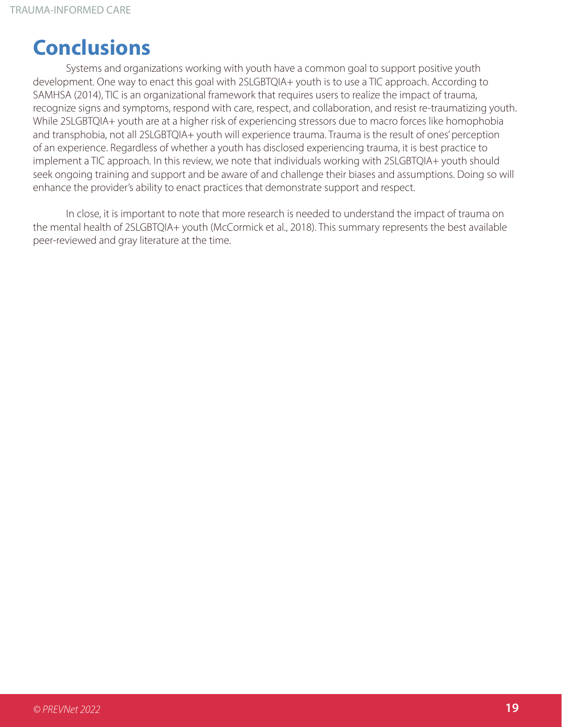## **Conclusions**

Systems and organizations working with youth have a common goal to support positive youth development. One way to enact this goal with 2SLGBTQIA+ youth is to use a TIC approach. According to SAMHSA (2014), TIC is an organizational framework that requires users to realize the impact of trauma, recognize signs and symptoms, respond with care, respect, and collaboration, and resist re-traumatizing youth. While 2SLGBTQIA+ youth are at a higher risk of experiencing stressors due to macro forces like homophobia and transphobia, not all 2SLGBTQIA+ youth will experience trauma. Trauma is the result of ones' perception of an experience. Regardless of whether a youth has disclosed experiencing trauma, it is best practice to implement a TIC approach. In this review, we note that individuals working with 2SLGBTQIA+ youth should seek ongoing training and support and be aware of and challenge their biases and assumptions. Doing so will enhance the provider's ability to enact practices that demonstrate support and respect.

In close, it is important to note that more research is needed to understand the impact of trauma on the mental health of 2SLGBTQIA+ youth (McCormick et al., 2018). This summary represents the best available peer-reviewed and gray literature at the time.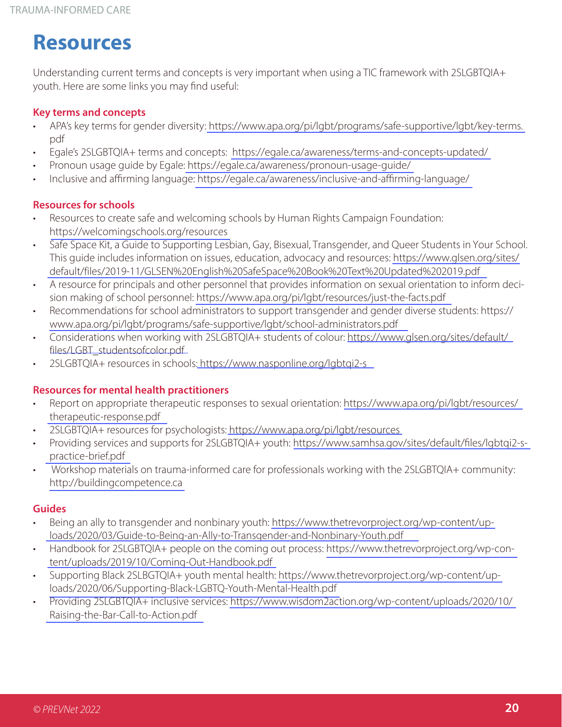## **Resources**

Understanding current terms and concepts is very important when using a TIC framework with 2SLGBTQIA+ youth. Here are some links you may find useful:

#### **Key terms and concepts**

- APA's key terms for gender diversity[: https://www.apa.org/pi/lgbt/programs/safe-supportive/lgbt/key-terms.](https://www.apa.org/pi/lgbt/programs/safe-supportive/lgbt/key-terms.pdf) pdf
- Egale's 2SLGBTQIA+ terms and concepts: <https://egale.ca/awareness/terms-and-concepts-updated/>
- Pronoun usage guide by Egale:<https://egale.ca/awareness/pronoun-usage-guide/>
- Inclusive and affirming language:<https://egale.ca/awareness/inclusive-and-affirming-language/>

#### **Resources for schools**

- Resources to create safe and welcoming schools by Human Rights Campaign Foundation: <https://welcomingschools.org/resources>
- Safe Space Kit, a Guide to Supporting Lesbian, Gay, Bisexual, Transgender, and Queer Students in Your School. This guide includes information on issues, education, advocacy and resources: [https://www.glsen.org/sites/](https://www.glsen.org/sites/default/files/2019-11/GLSEN%20English%20SafeSpace%20Book%20Text%20Updated%202019.pdf) [default/files/2019-11/GLSEN%20English%20SafeSpace%20Book%20Text%20Updated%202019.pdf](https://www.glsen.org/sites/default/files/2019-11/GLSEN%20English%20SafeSpace%20Book%20Text%20Updated%202019.pdf)
- A resource for principals and other personnel that provides information on sexual orientation to inform decision making of school personnel:<https://www.apa.org/pi/lgbt/resources/just-the-facts.pdf>
- Recommendations for school administrators to support transgender and gender diverse students: https:// [www.apa.org/pi/lgbt/programs/safe-supportive/lgbt/school-administrators.pdf](https://www.apa.org/pi/lgbt/programs/safe-supportive/lgbt/school-administrators.pdf)
- Considerations when working with 2SLGBTQIA+ students of colour: [https://www.glsen.org/sites/default/](https://www.glsen.org/sites/default/files/LGBT_studentsofcolor.pdf) [files/LGBT\\_studentsofcolor.pdf](https://www.glsen.org/sites/default/files/LGBT_studentsofcolor.pdf)
- 2SLGBTQIA+ resources in schools[: https://www.nasponline.org/lgbtqi2-s](https://www.nasponline.org/lgbtqi2-s)

#### **Resources for mental health practitioners**

- Report on appropriate therapeutic responses to sexual orientation: [https://www.apa.org/pi/lgbt/resources/](https://www.apa.org/pi/lgbt/resources/therapeutic-response.pdf) [therapeutic-response.pdf](https://www.apa.org/pi/lgbt/resources/therapeutic-response.pdf)
- 2SLGBTQIA+ resources for psychologists:<https://www.apa.org/pi/lgbt/resources>
- Providing services and supports for 2SLGBTQIA+ youth: [https://www.samhsa.gov/sites/default/files/lgbtqi2-s](https://www.samhsa.gov/sites/default/files/lgbtqi2-s-practice-brief.pdf)[practice-brief.pdf](https://www.samhsa.gov/sites/default/files/lgbtqi2-s-practice-brief.pdf)
- Workshop materials on trauma-informed care for professionals working with the 2SLGBTQIA+ community: [http://buildingcompetence.ca](http://buildingcompetence.ca/)

#### **Guides**

- Being an ally to transgender and nonbinary youth: [https://www.thetrevorproject.org/wp-content/up](https://www.thetrevorproject.org/wp-content/uploads/2020/03/Guide-to-Being-an-Ally-to-Transgender-and-Nonbinary-Youth.pdf)[loads/2020/03/Guide-to-Being-an-Ally-to-Transgender-and-Nonbinary-Youth.pdf](https://www.thetrevorproject.org/wp-content/uploads/2020/03/Guide-to-Being-an-Ally-to-Transgender-and-Nonbinary-Youth.pdf)
- Handbook for 2SLGBTQIA+ people on the coming out process: [https://www.thetrevorproject.org/wp-con](https://www.thetrevorproject.org/wp-content/uploads/2019/10/Coming-Out-Handbook.pdf)[tent/uploads/2019/10/Coming-Out-Handbook.pdf](https://www.thetrevorproject.org/wp-content/uploads/2019/10/Coming-Out-Handbook.pdf)
- Supporting Black 2SLBGTQIA+ youth mental health: [https://www.thetrevorproject.org/wp-content/up](https://www.thetrevorproject.org/wp-content/uploads/2020/06/Supporting-Black-LGBTQ-Youth-Mental-Health.pdf)[loads/2020/06/Supporting-Black-LGBTQ-Youth-Mental-Health.pdf](https://www.thetrevorproject.org/wp-content/uploads/2020/06/Supporting-Black-LGBTQ-Youth-Mental-Health.pdf)
- Providing 2SLGBTQIA+ inclusive services: [https://www.wisdom2action.org/wp-content/uploads/2020/10/](https://www.wisdom2action.org/wp-content/uploads/2020/10/Raising-the-Bar-Call-to-Action.pdf) [Raising-the-Bar-Call-to-Action.pdf](https://www.wisdom2action.org/wp-content/uploads/2020/10/Raising-the-Bar-Call-to-Action.pdf)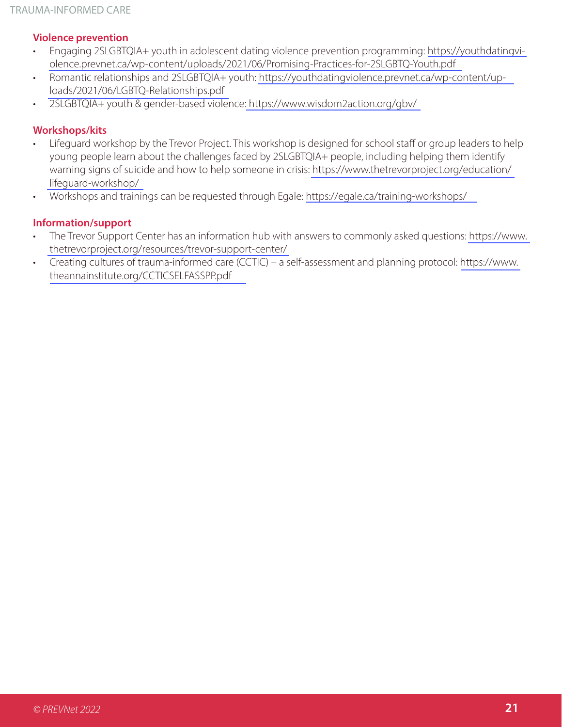#### **Violence prevention**

- Engaging 2SLGBTQIA+ youth in adolescent dating violence prevention programming: [https://youthdatingvi](https://youthdatingviolence.prevnet.ca/wp-content/uploads/2021/06/Promising-Practices-for-2SLGBTQ-Youth.pdf)[olence.prevnet.ca/wp-content/uploads/2021/06/Promising-Practices-for-2SLGBTQ-Youth.pdf](https://youthdatingviolence.prevnet.ca/wp-content/uploads/2021/06/Promising-Practices-for-2SLGBTQ-Youth.pdf)
- Romantic relationships and 2SLGBTQIA+ youth: [https://youthdatingviolence.prevnet.ca/wp-content/up](https://youthdatingviolence.prevnet.ca/wp-content/uploads/2021/06/LGBTQ-Relationships.pdf)[loads/2021/06/LGBTQ-Relationships.pdf](https://youthdatingviolence.prevnet.ca/wp-content/uploads/2021/06/LGBTQ-Relationships.pdf)
- 2SLGBTQIA+ youth & gender-based violence[: https://www.wisdom2action.org/gbv/](https://www.wisdom2action.org/gbv/)

#### **Workshops/kits**

- Lifeguard workshop by the Trevor Project. This workshop is designed for school staff or group leaders to help young people learn about the challenges faced by 2SLGBTQIA+ people, including helping them identify warning signs of suicide and how to help someone in crisis: [https://www.thetrevorproject.org/education/](https://www.thetrevorproject.org/education/lifeguard-workshop/) [lifeguard-workshop/](https://www.thetrevorproject.org/education/lifeguard-workshop/)
- Workshops and trainings can be requested through Egale: <https://egale.ca/training-workshops/>

#### **Information/support**

- The Trevor Support Center has an information hub with answers to commonly asked questions: [https://www.](https://www.thetrevorproject.org/resources/trevor-support-center/) [thetrevorproject.org/resources/trevor-support-center/](https://www.thetrevorproject.org/resources/trevor-support-center/)
- Creating cultures of trauma-informed care (CCTIC) a self-assessment and planning protocol: [https://www.](https://www.theannainstitute.org/CCTICSELFASSPP.pdf) [theannainstitute.org/CCTICSELFASSPP.pdf](https://www.theannainstitute.org/CCTICSELFASSPP.pdf)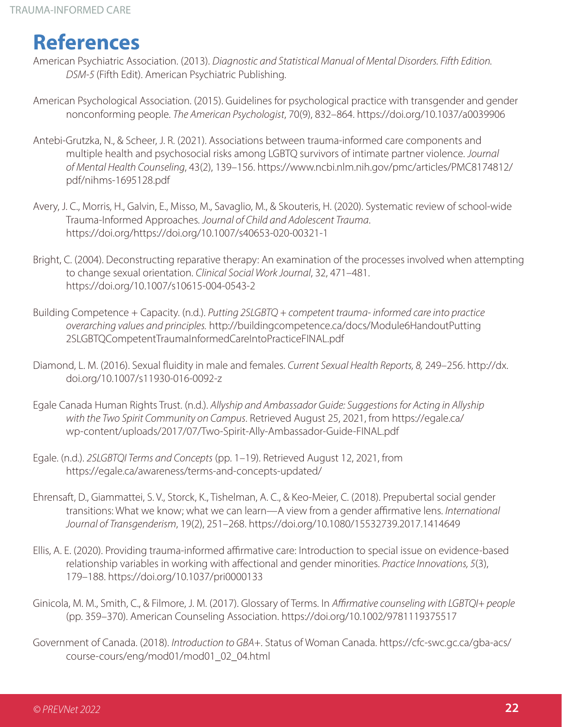## **References**

- American Psychiatric Association. (2013). *Diagnostic and Statistical Manual of Mental Disorders. Fifth Edition. DSM-5* (Fifth Edit). American Psychiatric Publishing.
- American Psychological Association. (2015). Guidelines for psychological practice with transgender and gender nonconforming people. *The American Psychologist*, 70(9), 832–864. https://doi.org/10.1037/a0039906
- Antebi-Grutzka, N., & Scheer, J. R. (2021). Associations between trauma-informed care components and multiple health and psychosocial risks among LGBTQ survivors of intimate partner violence. *Journal of Mental Health Counseling*, 43(2), 139–156. https://www.ncbi.nlm.nih.gov/pmc/articles/PMC8174812/ pdf/nihms-1695128.pdf
- Avery, J. C., Morris, H., Galvin, E., Misso, M., Savaglio, M., & Skouteris, H. (2020). Systematic review of school-wide Trauma-Informed Approaches. *Journal of Child and Adolescent Trauma*. https://doi.org/https://doi.org/10.1007/s40653-020-00321-1
- Bright, C. (2004). Deconstructing reparative therapy: An examination of the processes involved when attempting to change sexual orientation. *Clinical Social Work Journal*, 32, 471–481. https://doi.org/10.1007/s10615-004-0543-2
- Building Competence + Capacity. (n.d.). *Putting 2SLGBTQ + competent trauma- informed care into practice overarching values and principles.* http://buildingcompetence.ca/docs/Module6HandoutPutting 2SLGBTQCompetentTraumaInformedCareIntoPracticeFINAL.pdf
- Diamond, L. M. (2016). Sexual fluidity in male and females. *Current Sexual Health Reports, 8,* 249–256. http://dx. doi.org/10.1007/s11930-016-0092-z
- Egale Canada Human Rights Trust. (n.d.). *Allyship and Ambassador Guide: Suggestions for Acting in Allyship with the Two Spirit Community on Campus*. Retrieved August 25, 2021, from https://egale.ca/ wp-content/uploads/2017/07/Two-Spirit-Ally-Ambassador-Guide-FINAL.pdf
- Egale. (n.d.). *2SLGBTQI Terms and Concepts* (pp. 1–19). Retrieved August 12, 2021, from https://egale.ca/awareness/terms-and-concepts-updated/
- Ehrensaft, D., Giammattei, S. V., Storck, K., Tishelman, A. C., & Keo-Meier, C. (2018). Prepubertal social gender transitions: What we know; what we can learn—A view from a gender affirmative lens. *International Journal of Transgenderism*, 19(2), 251–268. https://doi.org/10.1080/15532739.2017.1414649
- Ellis, A. E. (2020). Providing trauma-informed affirmative care: Introduction to special issue on evidence-based relationship variables in working with affectional and gender minorities. *Practice Innovations, 5*(3), 179–188. https://doi.org/10.1037/pri0000133
- Ginicola, M. M., Smith, C., & Filmore, J. M. (2017). Glossary of Terms. In *Affirmative counseling with LGBTQI+ people* (pp. 359–370). American Counseling Association. https://doi.org/10.1002/9781119375517
- Government of Canada. (2018). *Introduction to GBA+*. Status of Woman Canada. https://cfc-swc.gc.ca/gba-acs/ course-cours/eng/mod01/mod01\_02\_04.html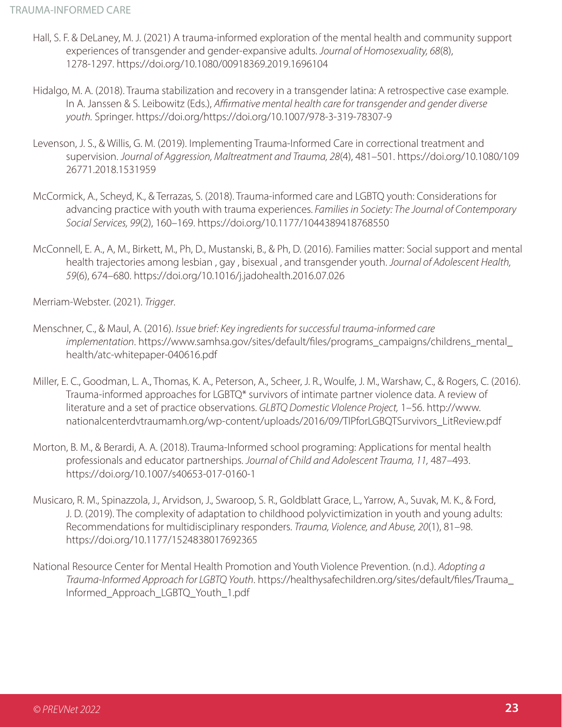- Hall, S. F. & DeLaney, M. J. (2021) A trauma-informed exploration of the mental health and community support experiences of transgender and gender-expansive adults. *Journal of Homosexuality, 68*(8), 1278-1297. https://doi.org/10.1080/00918369.2019.1696104
- Hidalgo, M. A. (2018). Trauma stabilization and recovery in a transgender latina: A retrospective case example. In A. Janssen & S. Leibowitz (Eds.), *Affirmative mental health care for transgender and gender diverse youth.* Springer. https://doi.org/https://doi.org/10.1007/978-3-319-78307-9
- Levenson, J. S., & Willis, G. M. (2019). Implementing Trauma-Informed Care in correctional treatment and supervision. *Journal of Aggression, Maltreatment and Trauma, 28*(4), 481–501. https://doi.org/10.1080/109 26771.2018.1531959
- McCormick, A., Scheyd, K., & Terrazas, S. (2018). Trauma-informed care and LGBTQ youth: Considerations for advancing practice with youth with trauma experiences. *Families in Society: The Journal of Contemporary Social Services, 99*(2), 160–169. https://doi.org/10.1177/1044389418768550
- McConnell, E. A., A, M., Birkett, M., Ph, D., Mustanski, B., & Ph, D. (2016). Families matter: Social support and mental health trajectories among lesbian , gay , bisexual , and transgender youth. *Journal of Adolescent Health, 59*(6), 674–680. https://doi.org/10.1016/j.jadohealth.2016.07.026

Merriam-Webster. (2021). *Trigger*.

- Menschner, C., & Maul, A. (2016). *Issue brief: Key ingredients for successful trauma-informed care implementation*. https://www.samhsa.gov/sites/default/files/programs\_campaigns/childrens\_mental\_ health/atc-whitepaper-040616.pdf
- Miller, E. C., Goodman, L. A., Thomas, K. A., Peterson, A., Scheer, J. R., Woulfe, J. M., Warshaw, C., & Rogers, C. (2016). Trauma-informed approaches for LGBTQ\* survivors of intimate partner violence data. A review of literature and a set of practice observations. *GLBTQ Domestic VIolence Project,* 1–56. http://www. nationalcenterdvtraumamh.org/wp-content/uploads/2016/09/TIPforLGBQTSurvivors\_LitReview.pdf
- Morton, B. M., & Berardi, A. A. (2018). Trauma-Informed school programing: Applications for mental health professionals and educator partnerships. *Journal of Child and Adolescent Trauma, 11,* 487–493. https://doi.org/10.1007/s40653-017-0160-1
- Musicaro, R. M., Spinazzola, J., Arvidson, J., Swaroop, S. R., Goldblatt Grace, L., Yarrow, A., Suvak, M. K., & Ford, J. D. (2019). The complexity of adaptation to childhood polyvictimization in youth and young adults: Recommendations for multidisciplinary responders. *Trauma, Violence, and Abuse, 20*(1), 81–98. https://doi.org/10.1177/1524838017692365
- National Resource Center for Mental Health Promotion and Youth Violence Prevention. (n.d.). *Adopting a Trauma-Informed Approach for LGBTQ Youth*. https://healthysafechildren.org/sites/default/files/Trauma\_ Informed\_Approach\_LGBTQ\_Youth\_1.pdf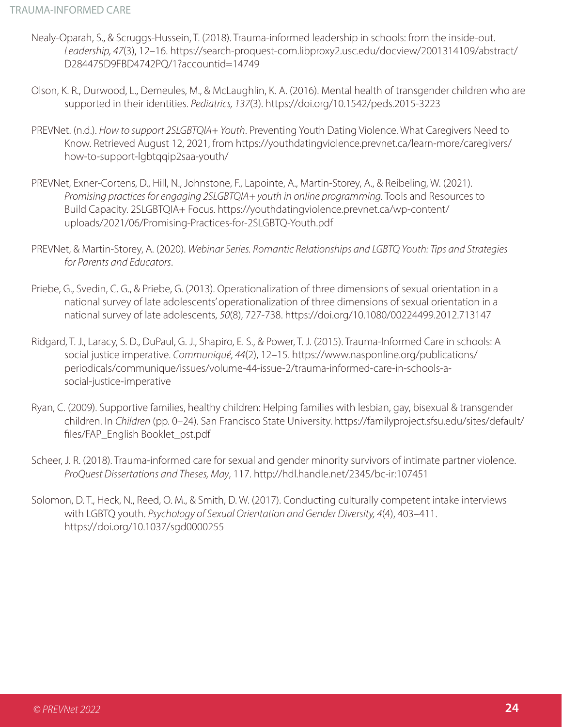- Nealy-Oparah, S., & Scruggs-Hussein, T. (2018). Trauma-informed leadership in schools: from the inside-out. *Leadership, 47*(3), 12–16. https://search-proquest-com.libproxy2.usc.edu/docview/2001314109/abstract/ D284475D9FBD4742PQ/1?accountid=14749
- Olson, K. R., Durwood, L., Demeules, M., & McLaughlin, K. A. (2016). Mental health of transgender children who are supported in their identities. *Pediatrics, 137*(3). https://doi.org/10.1542/peds.2015-3223
- PREVNet. (n.d.). *How to support 2SLGBTQIA+ Youth*. Preventing Youth Dating Violence. What Caregivers Need to Know. Retrieved August 12, 2021, from https://youthdatingviolence.prevnet.ca/learn-more/caregivers/ how-to-support-lgbtqqip2saa-youth/
- PREVNet, Exner-Cortens, D., Hill, N., Johnstone, F., Lapointe, A., Martin-Storey, A., & Reibeling, W. (2021). *Promising practices for engaging 2SLGBTQIA+ youth in online programming.* Tools and Resources to Build Capacity. 2SLGBTQIA+ Focus. https://youthdatingviolence.prevnet.ca/wp-content/ uploads/2021/06/Promising-Practices-for-2SLGBTQ-Youth.pdf
- PREVNet, & Martin-Storey, A. (2020). *Webinar Series. Romantic Relationships and LGBTQ Youth: Tips and Strategies for Parents and Educators*.
- Priebe, G., Svedin, C. G., & Priebe, G. (2013). Operationalization of three dimensions of sexual orientation in a national survey of late adolescents' operationalization of three dimensions of sexual orientation in a national survey of late adolescents, *50*(8), 727-738. https://doi.org/10.1080/00224499.2012.713147
- Ridgard, T. J., Laracy, S. D., DuPaul, G. J., Shapiro, E. S., & Power, T. J. (2015). Trauma-Informed Care in schools: A social justice imperative. *Communiqué, 44*(2), 12–15. https://www.nasponline.org/publications/ periodicals/communique/issues/volume-44-issue-2/trauma-informed-care-in-schools-asocial-justice-imperative
- Ryan, C. (2009). Supportive families, healthy children: Helping families with lesbian, gay, bisexual & transgender children. In *Children* (pp. 0–24). San Francisco State University. https://familyproject.sfsu.edu/sites/default/ files/FAP\_English Booklet\_pst.pdf
- Scheer, J. R. (2018). Trauma-informed care for sexual and gender minority survivors of intimate partner violence. *ProQuest Dissertations and Theses, May*, 117. http://hdl.handle.net/2345/bc-ir:107451
- Solomon, D. T., Heck, N., Reed, O. M., & Smith, D. W. (2017). Conducting culturally competent intake interviews with LGBTQ youth. *Psychology of Sexual Orientation and Gender Diversity, 4*(4), 403–411. https://doi.org/10.1037/sgd0000255